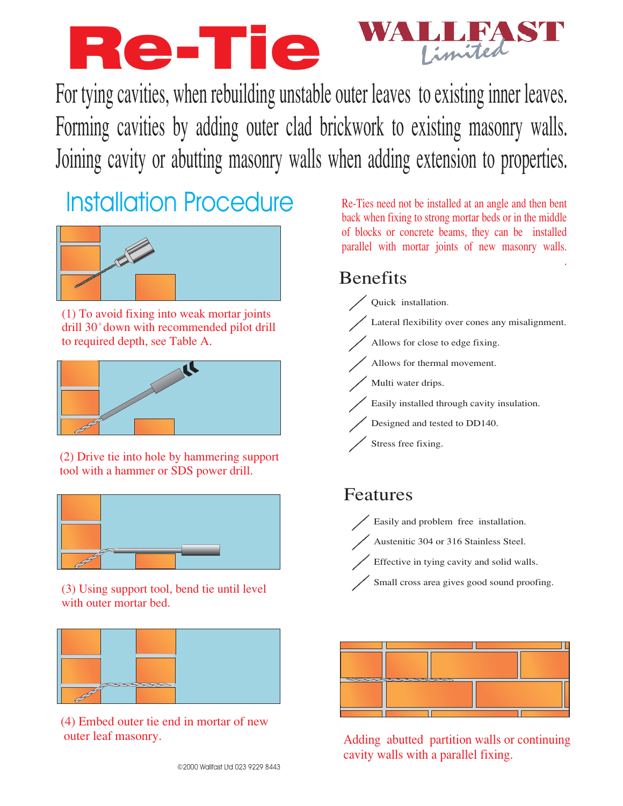## Re-Tie Limited

For tying cavities, when rebuilding unstable outer leaves to existing inner leaves. Forming cavities by adding outer clad brickwork to existing masonry walls. Joining cavity or abutting masonry walls when adding extension to properties.

# **Installation Procedure**



(1) To avoid fixing into weak mortar joints drill 30<sup>°</sup> down with recommended pilot drill to required depth, see Table A.



(2) Drive tie into hole by hammering support tool with a hammer or SDS power drill.



(3) Using support tool, bend tie until level with outer mortar bed.



(4) Embed outer tie end in mortar of new outer leaf masonry.

Re-Ties need not be installed at an angle and then bent back when fixing to strong mortar beds or in the middle of blocks or concrete beams, they can be installed parallel with mortar joints of new masonry walls.

### **Benefits**



#### Features



Austenitic 304 or 316 Stainless Steel.

Effective in tying cavity and solid walls.

Small cross area gives good sound proofing.



Adding abutted partition walls or continuing cavity walls with a parallel fixing.